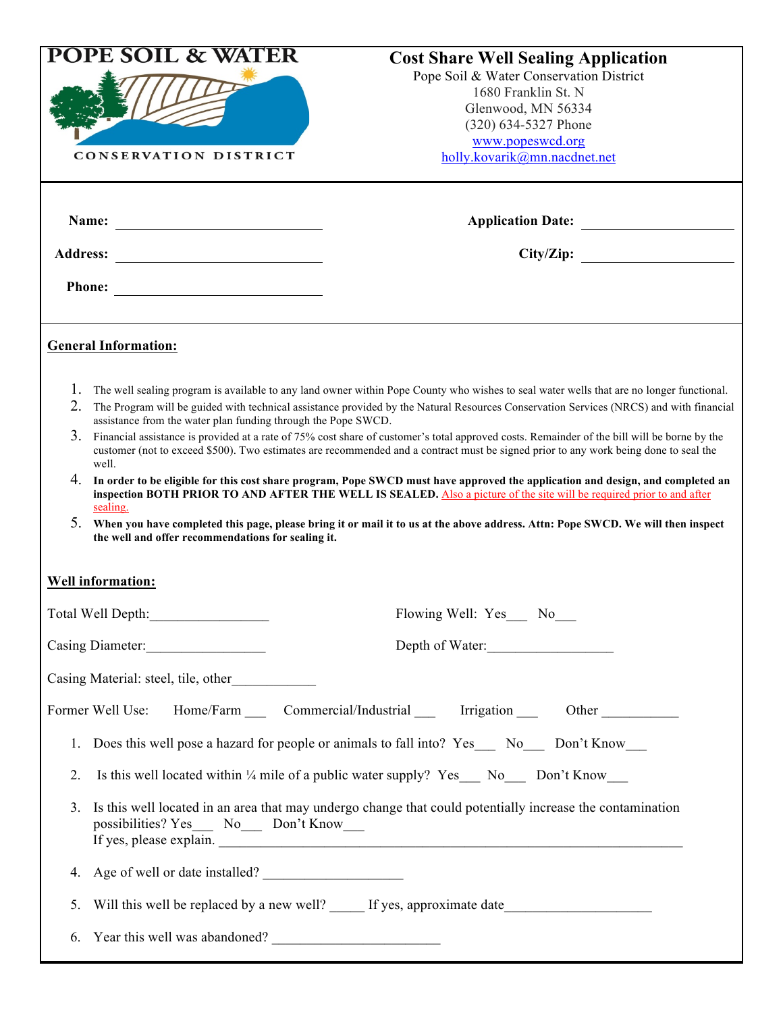| <b>POPE SOIL &amp; WATER</b><br><b>CONSERVATION DISTRICT</b>                                                                                                                       | <b>Cost Share Well Sealing Application</b><br>Pope Soil & Water Conservation District<br>1680 Franklin St. N<br>Glenwood, MN 56334<br>(320) 634-5327 Phone<br>www.popeswcd.org<br>holly.kovarik@mn.nacdnet.net                                                                                                                                                                                                                                                                                                                                                                                                                                                                                                                                                                                                                                                                                                                                                          |  |
|------------------------------------------------------------------------------------------------------------------------------------------------------------------------------------|-------------------------------------------------------------------------------------------------------------------------------------------------------------------------------------------------------------------------------------------------------------------------------------------------------------------------------------------------------------------------------------------------------------------------------------------------------------------------------------------------------------------------------------------------------------------------------------------------------------------------------------------------------------------------------------------------------------------------------------------------------------------------------------------------------------------------------------------------------------------------------------------------------------------------------------------------------------------------|--|
| Name:<br><b>Address:</b><br><u> 1980 - Jan Samuel Barbara, martin di</u>                                                                                                           | City/Zip:                                                                                                                                                                                                                                                                                                                                                                                                                                                                                                                                                                                                                                                                                                                                                                                                                                                                                                                                                               |  |
| <b>Phone:</b>                                                                                                                                                                      |                                                                                                                                                                                                                                                                                                                                                                                                                                                                                                                                                                                                                                                                                                                                                                                                                                                                                                                                                                         |  |
| <b>General Information:</b>                                                                                                                                                        |                                                                                                                                                                                                                                                                                                                                                                                                                                                                                                                                                                                                                                                                                                                                                                                                                                                                                                                                                                         |  |
| 1.<br>2.<br>assistance from the water plan funding through the Pope SWCD.<br>3 <sub>1</sub><br>well.<br>4.<br>sealing.<br>5.<br>the well and offer recommendations for sealing it. | The well sealing program is available to any land owner within Pope County who wishes to seal water wells that are no longer functional.<br>The Program will be guided with technical assistance provided by the Natural Resources Conservation Services (NRCS) and with financial<br>Financial assistance is provided at a rate of 75% cost share of customer's total approved costs. Remainder of the bill will be borne by the<br>customer (not to exceed \$500). Two estimates are recommended and a contract must be signed prior to any work being done to seal the<br>In order to be eligible for this cost share program, Pope SWCD must have approved the application and design, and completed an<br>inspection BOTH PRIOR TO AND AFTER THE WELL IS SEALED. Also a picture of the site will be required prior to and after<br>When you have completed this page, please bring it or mail it to us at the above address. Attn: Pope SWCD. We will then inspect |  |
| <b>Well information:</b>                                                                                                                                                           | Flowing Well: Yes__ No__                                                                                                                                                                                                                                                                                                                                                                                                                                                                                                                                                                                                                                                                                                                                                                                                                                                                                                                                                |  |
|                                                                                                                                                                                    | Depth of Water:                                                                                                                                                                                                                                                                                                                                                                                                                                                                                                                                                                                                                                                                                                                                                                                                                                                                                                                                                         |  |
| Casing Material: steel, tile, other_____________                                                                                                                                   |                                                                                                                                                                                                                                                                                                                                                                                                                                                                                                                                                                                                                                                                                                                                                                                                                                                                                                                                                                         |  |
| Former Well Use:                                                                                                                                                                   | Home/Farm Commercial/Industrial Irrigation Cher                                                                                                                                                                                                                                                                                                                                                                                                                                                                                                                                                                                                                                                                                                                                                                                                                                                                                                                         |  |
| Does this well pose a hazard for people or animals to fall into? Yes _____ No_____ Don't Know<br>1.                                                                                |                                                                                                                                                                                                                                                                                                                                                                                                                                                                                                                                                                                                                                                                                                                                                                                                                                                                                                                                                                         |  |
| 2.                                                                                                                                                                                 | Is this well located within $\frac{1}{4}$ mile of a public water supply? Yes No Don't Know                                                                                                                                                                                                                                                                                                                                                                                                                                                                                                                                                                                                                                                                                                                                                                                                                                                                              |  |
| 3.<br>possibilities? Yes___ No___ Don't Know___                                                                                                                                    | Is this well located in an area that may undergo change that could potentially increase the contamination<br>If yes, please explain.                                                                                                                                                                                                                                                                                                                                                                                                                                                                                                                                                                                                                                                                                                                                                                                                                                    |  |
| 4.                                                                                                                                                                                 | Age of well or date installed?                                                                                                                                                                                                                                                                                                                                                                                                                                                                                                                                                                                                                                                                                                                                                                                                                                                                                                                                          |  |
| 5.                                                                                                                                                                                 | Will this well be replaced by a new well? _____ If yes, approximate date____________________________                                                                                                                                                                                                                                                                                                                                                                                                                                                                                                                                                                                                                                                                                                                                                                                                                                                                    |  |
| Year this well was abandoned?<br>6.                                                                                                                                                |                                                                                                                                                                                                                                                                                                                                                                                                                                                                                                                                                                                                                                                                                                                                                                                                                                                                                                                                                                         |  |